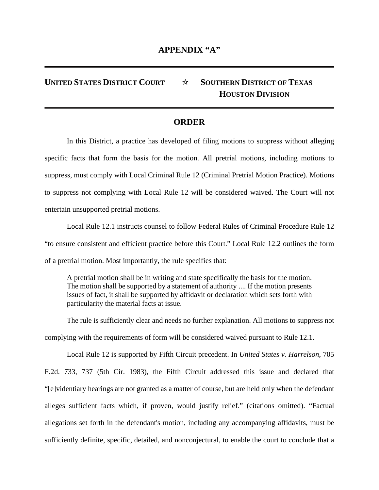## **UNITED STATES DISTRICT COURT** ☆ **SOUTHERN DISTRICT OF TEXAS HOUSTON DIVISION**

## **ORDER**

In this District, a practice has developed of filing motions to suppress without alleging specific facts that form the basis for the motion. All pretrial motions, including motions to suppress, must comply with Local Criminal Rule 12 (Criminal Pretrial Motion Practice). Motions to suppress not complying with Local Rule 12 will be considered waived. The Court will not entertain unsupported pretrial motions.

Local Rule 12.1 instructs counsel to follow Federal Rules of Criminal Procedure Rule 12 "to ensure consistent and efficient practice before this Court." Local Rule 12.2 outlines the form of a pretrial motion. Most importantly, the rule specifies that:

A pretrial motion shall be in writing and state specifically the basis for the motion. The motion shall be supported by a statement of authority .... If the motion presents issues of fact, it shall be supported by affidavit or declaration which sets forth with particularity the material facts at issue.

The rule is sufficiently clear and needs no further explanation. All motions to suppress not complying with the requirements of form will be considered waived pursuant to Rule 12.1.

Local Rule 12 is supported by Fifth Circuit precedent. In *United States v. Harrelson*, 705 F.2d. 733, 737 (5th Cir. 1983), the Fifth Circuit addressed this issue and declared that "[e]videntiary hearings are not granted as a matter of course, but are held only when the defendant alleges sufficient facts which, if proven, would justify relief." (citations omitted). "Factual allegations set forth in the defendant's motion, including any accompanying affidavits, must be sufficiently definite, specific, detailed, and nonconjectural, to enable the court to conclude that a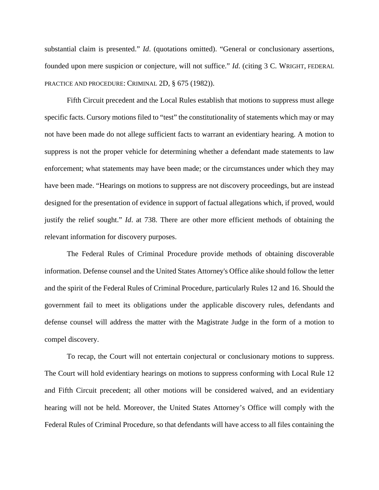substantial claim is presented." *Id*. (quotations omitted). "General or conclusionary assertions, founded upon mere suspicion or conjecture, will not suffice." *Id*. (citing 3 C. WRIGHT, FEDERAL PRACTICE AND PROCEDURE: CRIMINAL 2D, § 675 (1982)).

Fifth Circuit precedent and the Local Rules establish that motions to suppress must allege specific facts. Cursory motions filed to "test" the constitutionality of statements which may or may not have been made do not allege sufficient facts to warrant an evidentiary hearing. A motion to suppress is not the proper vehicle for determining whether a defendant made statements to law enforcement; what statements may have been made; or the circumstances under which they may have been made. "Hearings on motions to suppress are not discovery proceedings, but are instead designed for the presentation of evidence in support of factual allegations which, if proved, would justify the relief sought." *Id*. at 738. There are other more efficient methods of obtaining the relevant information for discovery purposes.

The Federal Rules of Criminal Procedure provide methods of obtaining discoverable information. Defense counsel and the United States Attorney's Office alike should follow the letter and the spirit of the Federal Rules of Criminal Procedure, particularly Rules 12 and 16. Should the government fail to meet its obligations under the applicable discovery rules, defendants and defense counsel will address the matter with the Magistrate Judge in the form of a motion to compel discovery.

To recap, the Court will not entertain conjectural or conclusionary motions to suppress. The Court will hold evidentiary hearings on motions to suppress conforming with Local Rule 12 and Fifth Circuit precedent; all other motions will be considered waived, and an evidentiary hearing will not be held. Moreover, the United States Attorney's Office will comply with the Federal Rules of Criminal Procedure, so that defendants will have access to all files containing the